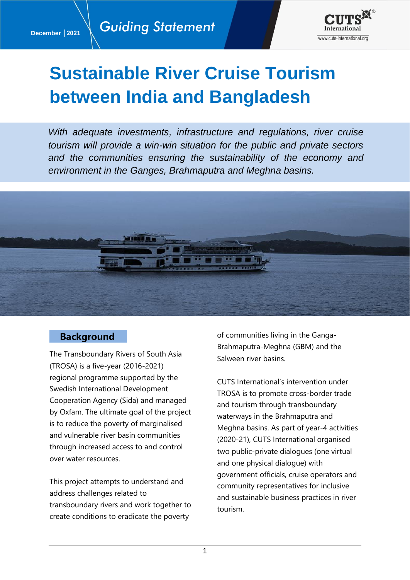

# **Sustainable River Cruise Tourism between India and Bangladesh**

*With adequate investments, infrastructure and regulations, river cruise tourism will provide a win-win situation for the public and private sectors and the communities ensuring the sustainability of the economy and environment in the Ganges, Brahmaputra and Meghna basins.*



## **Background**

The Transboundary Rivers of South Asia (TROSA) is a five-year (2016-2021) regional programme supported by the Swedish International Development Cooperation Agency (Sida) and managed by Oxfam. The ultimate goal of the project is to reduce the poverty of marginalised and vulnerable river basin communities through increased access to and control over water resources.

This project attempts to understand and address challenges related to transboundary rivers and work together to create conditions to eradicate the poverty

of communities living in the Ganga-Brahmaputra-Meghna (GBM) and the Salween river basins.

CUTS International's intervention under TROSA is to promote cross-border trade and tourism through transboundary waterways in the Brahmaputra and Meghna basins. As part of year-4 activities (2020-21), CUTS International organised two public-private dialogues (one virtual and one physical dialogue) with government officials, cruise operators and community representatives for inclusive and sustainable business practices in river tourism.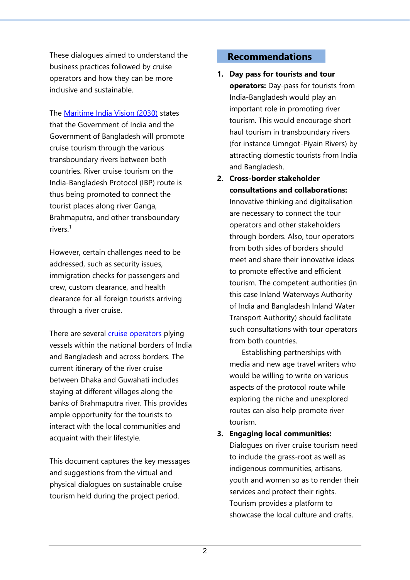These dialogues aimed to understand the business practices followed by cruise operators and how they can be more inclusive and sustainable.

The [Maritime India Vision \(2030\)](https://sagarmala.gov.in/sites/default/files/MIV%202030%20Report.pdf) states that the Government of India and the Government of Bangladesh will promote cruise tourism through the various transboundary rivers between both countries. River cruise tourism on the India-Bangladesh Protocol (IBP) route is thus being promoted to connect the tourist places along river Ganga, Brahmaputra, and other transboundary rivers. 1

However, certain challenges need to be addressed, such as security issues, immigration checks for passengers and crew, custom clearance, and health clearance for all foreign tourists arriving through a river cruise.

There are several **cruise operators** plying vessels within the national borders of India and Bangladesh and across borders. The current itinerary of the river cruise between Dhaka and Guwahati includes staying at different villages along the banks of Brahmaputra river. This provides ample opportunity for the tourists to interact with the local communities and acquaint with their lifestyle.

This document captures the key messages and suggestions from the virtual and physical dialogues on sustainable cruise tourism held during the project period.

### **Recommendations**

- **1. Day pass for tourists and tour operators:** Day-pass for tourists from India-Bangladesh would play an important role in promoting river tourism. This would encourage short haul tourism in transboundary rivers (for instance Umngot-Piyain Rivers) by attracting domestic tourists from India and Bangladesh.
- **2. Cross-border stakeholder consultations and collaborations:**  Innovative thinking and digitalisation are necessary to connect the tour operators and other stakeholders through borders. Also, tour operators from both sides of borders should meet and share their innovative ideas to promote effective and efficient tourism. The competent authorities (in this case Inland Waterways Authority of India and Bangladesh Inland Water Transport Authority) should facilitate such consultations with tour operators from both countries.

 Establishing partnerships with media and new age travel writers who would be willing to write on various aspects of the protocol route while exploring the niche and unexplored routes can also help promote river tourism.

#### **3. Engaging local communities:**

Dialogues on river cruise tourism need to include the grass-root as well as indigenous communities, artisans, youth and women so as to render their services and protect their rights. Tourism provides a platform to showcase the local culture and crafts.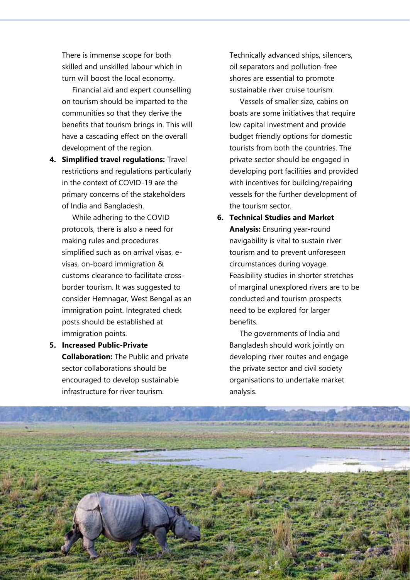There is immense scope for both skilled and unskilled labour which in turn will boost the local economy.

 Financial aid and expert counselling on tourism should be imparted to the communities so that they derive the benefits that tourism brings in. This will have a cascading effect on the overall development of the region.

**4. Simplified travel regulations:** Travel restrictions and regulations particularly in the context of COVID-19 are the primary concerns of the stakeholders of India and Bangladesh.

 While adhering to the COVID protocols, there is also a need for making rules and procedures simplified such as on arrival visas, evisas, on-board immigration & customs clearance to facilitate crossborder tourism. It was suggested to consider Hemnagar, West Bengal as an immigration point. Integrated check posts should be established at immigration points.

**5. Increased Public-Private Collaboration:** The Public and private sector collaborations should be encouraged to develop sustainable infrastructure for river tourism.

Technically advanced ships, silencers, oil separators and pollution-free shores are essential to promote sustainable river cruise tourism.

 Vessels of smaller size, cabins on boats are some initiatives that require low capital investment and provide budget friendly options for domestic tourists from both the countries. The private sector should be engaged in developing port facilities and provided with incentives for building/repairing vessels for the further development of the tourism sector.

**6. Technical Studies and Market Analysis:** Ensuring year-round navigability is vital to sustain river tourism and to prevent unforeseen circumstances during voyage. Feasibility studies in shorter stretches of marginal unexplored rivers are to be conducted and tourism prospects need to be explored for larger benefits.

 The governments of India and Bangladesh should work jointly on developing river routes and engage the private sector and civil society organisations to undertake market analysis.